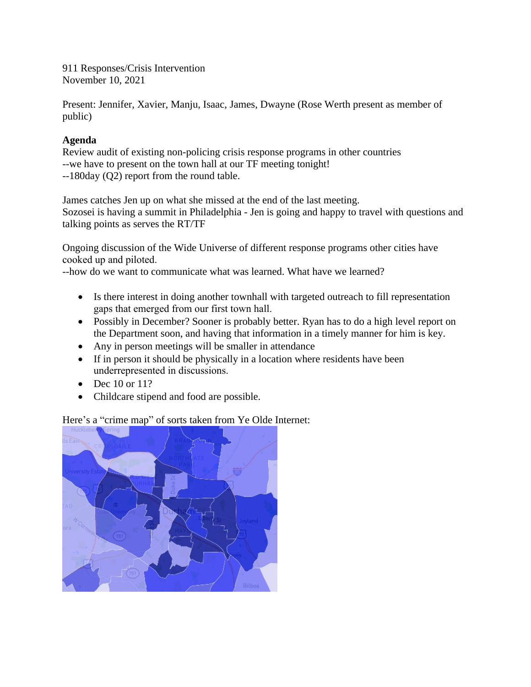911 Responses/Crisis Intervention November 10, 2021

Present: Jennifer, Xavier, Manju, Isaac, James, Dwayne (Rose Werth present as member of public)

## **Agenda**

Review audit of existing non-policing crisis response programs in other countries --we have to present on the town hall at our TF meeting tonight! --180day (Q2) report from the round table.

James catches Jen up on what she missed at the end of the last meeting. Sozosei is having a summit in Philadelphia - Jen is going and happy to travel with questions and talking points as serves the RT/TF

Ongoing discussion of the Wide Universe of different response programs other cities have cooked up and piloted.

--how do we want to communicate what was learned. What have we learned?

- Is there interest in doing another townhall with targeted outreach to fill representation gaps that emerged from our first town hall.
- Possibly in December? Sooner is probably better. Ryan has to do a high level report on the Department soon, and having that information in a timely manner for him is key.
- Any in person meetings will be smaller in attendance
- If in person it should be physically in a location where residents have been underrepresented in discussions.
- $\bullet$  Dec 10 or 11?
- Childcare stipend and food are possible.

Here's a "crime map" of sorts taken from Ye Olde Internet:

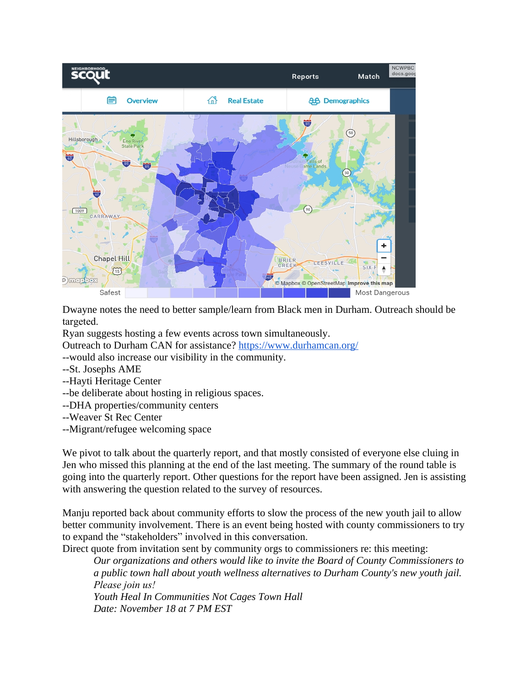

Dwayne notes the need to better sample/learn from Black men in Durham. Outreach should be targeted.

Ryan suggests hosting a few events across town simultaneously.

Outreach to Durham CAN for assistance?<https://www.durhamcan.org/>

--would also increase our visibility in the community.

- --St. Josephs AME
- --Hayti Heritage Center
- --be deliberate about hosting in religious spaces.
- --DHA properties/community centers
- --Weaver St Rec Center
- --Migrant/refugee welcoming space

We pivot to talk about the quarterly report, and that mostly consisted of everyone else cluing in Jen who missed this planning at the end of the last meeting. The summary of the round table is going into the quarterly report. Other questions for the report have been assigned. Jen is assisting with answering the question related to the survey of resources.

Manju reported back about community efforts to slow the process of the new youth jail to allow better community involvement. There is an event being hosted with county commissioners to try to expand the "stakeholders" involved in this conversation.

Direct quote from invitation sent by community orgs to commissioners re: this meeting:

*Our organizations and others would like to invite the Board of County Commissioners to a public town hall about youth wellness alternatives to Durham County's new youth jail. Please join us!* 

*Youth Heal In Communities Not Cages Town Hall Date: November 18 at 7 PM EST*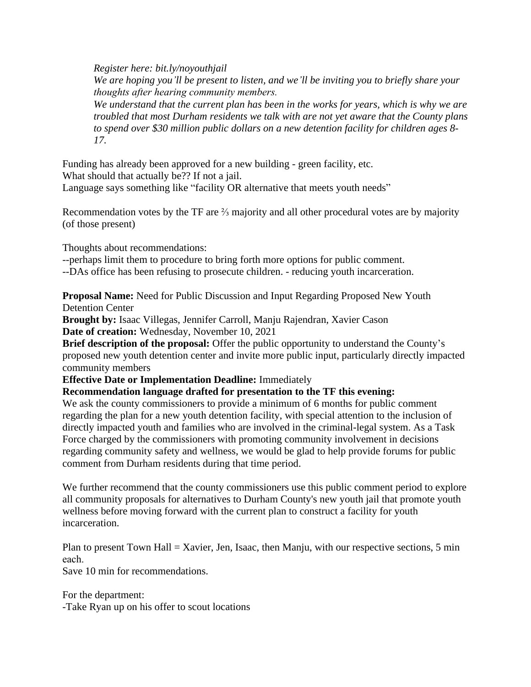*Register here: bit.ly/noyouthjail We are hoping you'll be present to listen, and we'll be inviting you to briefly share your thoughts after hearing community members. We understand that the current plan has been in the works for years, which is why we are troubled that most Durham residents we talk with are not yet aware that the County plans to spend over \$30 million public dollars on a new detention facility for children ages 8- 17.*

Funding has already been approved for a new building - green facility, etc. What should that actually be?? If not a jail. Language says something like "facility OR alternative that meets youth needs"

Recommendation votes by the TF are  $\frac{2}{3}$  majority and all other procedural votes are by majority (of those present)

Thoughts about recommendations:

--perhaps limit them to procedure to bring forth more options for public comment.

--DAs office has been refusing to prosecute children. - reducing youth incarceration.

**Proposal Name:** Need for Public Discussion and Input Regarding Proposed New Youth Detention Center

**Brought by:** Isaac Villegas, Jennifer Carroll, Manju Rajendran, Xavier Cason **Date of creation:** Wednesday, November 10, 2021

**Brief description of the proposal:** Offer the public opportunity to understand the County's proposed new youth detention center and invite more public input, particularly directly impacted community members

**Effective Date or Implementation Deadline:** Immediately

**Recommendation language drafted for presentation to the TF this evening:**

We ask the county commissioners to provide a minimum of 6 months for public comment regarding the plan for a new youth detention facility, with special attention to the inclusion of directly impacted youth and families who are involved in the criminal-legal system. As a Task Force charged by the commissioners with promoting community involvement in decisions regarding community safety and wellness, we would be glad to help provide forums for public comment from Durham residents during that time period.

We further recommend that the county commissioners use this public comment period to explore all community proposals for alternatives to Durham County's new youth jail that promote youth wellness before moving forward with the current plan to construct a facility for youth incarceration.

Plan to present Town Hall = Xavier, Jen, Isaac, then Manju, with our respective sections, 5 min each.

Save 10 min for recommendations.

For the department: -Take Ryan up on his offer to scout locations